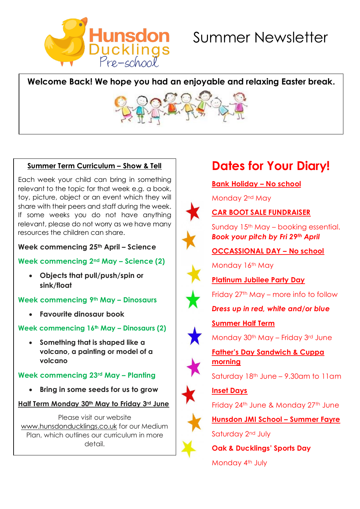

### **Welcome Back! We hope you had an enjoyable and relaxing Easter break.**



### **Summer Term Curriculum – Show & Tell**

Each week your child can bring in something relevant to the topic for that week e.g. a book, toy, picture, object or an event which they will share with their peers and staff during the week. If some weeks you do not have anything relevant, please do not worry as we have many resources the children can share.

**Week commencing 25th April – Science**

### **Week commencing 2nd May – Science (2)**

• **Objects that pull/push/spin or sink/float**

### **Week commencing 9th May – Dinosaurs**

• **Favourite dinosaur book**

### **Week commencing 16th May – Dinosaurs (2)**

• **Something that is shaped like a volcano, a painting or model of a volcano**

### **Week commencing 23rd May – Planting**

• **Bring in some seeds for us to grow**

**Half Term Monday 30th May to Friday 3rd June** 

Please visit our website [www.hunsdonducklings.co.uk](http://www.hunsdonducklings.co.uk/) for our Medium Plan, which outlines our curriculum in more detail.

# **Dates for Your Diary!**

**Bank Holiday – No school** 

Monday 2nd May



### **CAR BOOT SALE FUNDRAISER**

Sunday 15th May – booking essential. *Book your pitch by Fri 29th April*

### **OCCASSIONAL DAY – No school**

Monday 16<sup>th</sup> May



**Summer Half Term**



Friday 27th May – more info to follow

### *Dress up in red, white and/or blue*



Monday 30th May – Friday 3rd June

**Father's Day Sandwich & Cuppa morning** 

Saturday 18th June – 9.30am to 11am



**Inset Days**

Friday 24<sup>th</sup> June & Monday 27<sup>th</sup> June

**Hunsdon JMI School – Summer Fayre** Saturday 2<sup>nd</sup> July

**Oak & Ducklings' Sports Day** Monday 4th July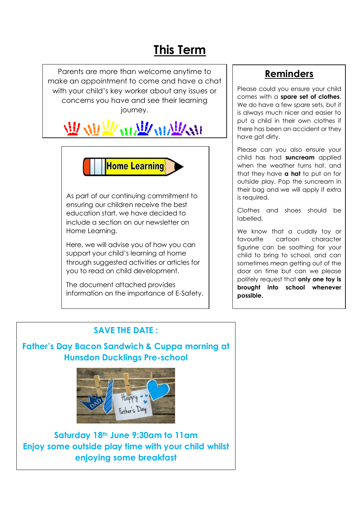# **This Term**

Parents are more than welcome anytime to make an appointment to come and have a chat with your child's key worker about any issues or concerns you have and see their learning journey.

# **WAR WARANT**



As part of our continuing commitment to ensuring our children receive the best education start, we have decided to include a section on our newsletter on Home Learning.

Here, we will advise you of how you can support your child's learning at home through suggested activities or articles for you to read on child development.

The document attached provides information on the importance of E-Safety.

### **Reminders**

Please could you ensure your child comes with a **spare set of clothes**. We do have a few spare sets, but it is always much nicer and easier to put a child in their own clothes if there has been an accident or they have got dirty.

Please can you also ensure your child has had **suncream** applied when the weather turns hot, and that they have **a hat** to put on for outside play. Pop the suncream in their bag and we will apply if extra is required.

Clothes and shoes should be labelled.

We know that a cuddly toy or favourite cartoon character figurine can be soothing for your child to bring to school, and can sometimes mean getting out of the door on time but can we please politely request that **only one toy is brought into school whenever possible.**

### **SAVE THE DATE :**

### **Father's Day Bacon Sandwich & Cuppa morning at Hunsdon Ducklings Pre-school**



**Saturday 18th June 9:30am to 11am Enjoy some outside play time with your child whilst enjoying some breakfast**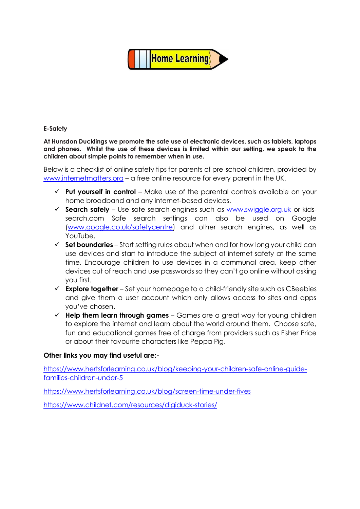

#### **E-Safety**

**At Hunsdon Ducklings we promote the safe use of electronic devices, such as tablets, laptops and phones. Whilst the use of these devices is limited within our setting, we speak to the children about simple points to remember when in use.** 

Below is a checklist of online safety tips for parents of pre-school children, provided by [www.internetmatters.org](http://www.internetmatters.org/) – a free online resource for every parent in the UK.

- ✓ **Put yourself in control** Make use of the parental controls available on your home broadband and any internet-based devices.
- ✓ **Search safely**  Use safe search engines such as [www.swiggle.org.uk](http://www.swiggle.org.uk/) or kidssearch.com Safe search settings can also be used on Google [\(www.google.co.uk/safetycentre\)](http://www.google.co.uk/safetycentre) and other search engines, as well as YouTube.
- ✓ **Set boundaries**  Start setting rules about when and for how long your child can use devices and start to introduce the subject of internet safety at the same time. Encourage children to use devices in a communal area, keep other devices out of reach and use passwords so they can't go online without asking you first.
- ✓ **Explore together**  Set your homepage to a child-friendly site such as CBeebies and give them a user account which only allows access to sites and apps you've chosen.
- ✓ **Help them learn through games**  Games are a great way for young children to explore the internet and learn about the world around them. Choose safe, fun and educational games free of charge from providers such as Fisher Price or about their favourite characters like Peppa Pig.

#### **Other links you may find useful are:-**

[https://www.hertsforlearning.co.uk/blog/keeping-your-children-safe-online-guide](https://www.hertsforlearning.co.uk/blog/keeping-your-children-safe-online-guide-families-children-under-5)[families-children-under-5](https://www.hertsforlearning.co.uk/blog/keeping-your-children-safe-online-guide-families-children-under-5)

<https://www.hertsforlearning.co.uk/blog/screen-time-under-fives>

<https://www.childnet.com/resources/digiduck-stories/>